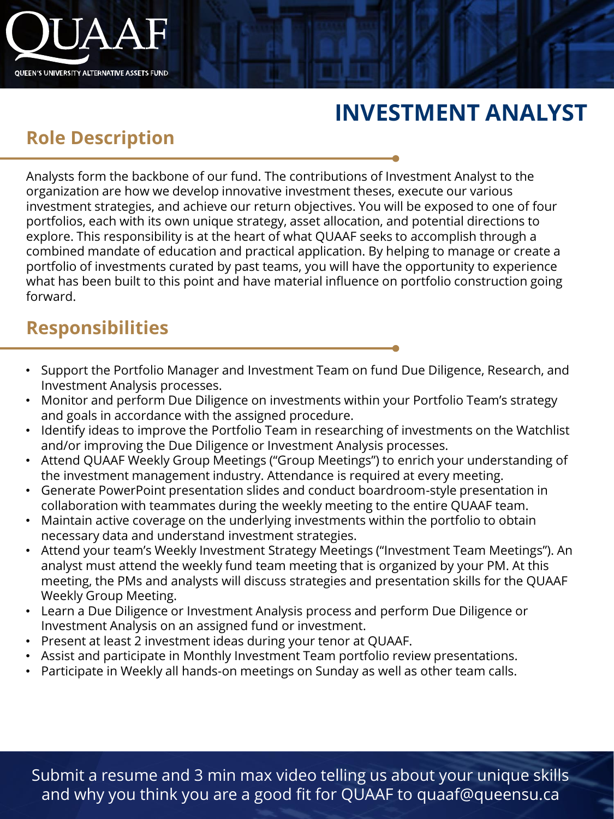

# **INVESTMENT ANALYST**

## **Role Description**

Analysts form the backbone of our fund. The contributions of Investment Analyst to the organization are how we develop innovative investment theses, execute our various investment strategies, and achieve our return objectives. You will be exposed to one of four portfolios, each with its own unique strategy, asset allocation, and potential directions to explore. This responsibility is at the heart of what QUAAF seeks to accomplish through a combined mandate of education and practical application. By helping to manage or create a portfolio of investments curated by past teams, you will have the opportunity to experience what has been built to this point and have material influence on portfolio construction going forward.

### **Responsibilities**

- Support the Portfolio Manager and Investment Team on fund Due Diligence, Research, and Investment Analysis processes.
- Monitor and perform Due Diligence on investments within your Portfolio Team's strategy and goals in accordance with the assigned procedure.
- Identify ideas to improve the Portfolio Team in researching of investments on the Watchlist and/or improving the Due Diligence or Investment Analysis processes.
- Attend QUAAF Weekly Group Meetings ("Group Meetings") to enrich your understanding of the investment management industry. Attendance is required at every meeting.
- Generate PowerPoint presentation slides and conduct boardroom-style presentation in collaboration with teammates during the weekly meeting to the entire QUAAF team.
- Maintain active coverage on the underlying investments within the portfolio to obtain necessary data and understand investment strategies.
- Attend your team's Weekly Investment Strategy Meetings ("Investment Team Meetings"). An analyst must attend the weekly fund team meeting that is organized by your PM. At this meeting, the PMs and analysts will discuss strategies and presentation skills for the QUAAF Weekly Group Meeting.
- Learn a Due Diligence or Investment Analysis process and perform Due Diligence or Investment Analysis on an assigned fund or investment.
- Present at least 2 investment ideas during your tenor at QUAAF.
- Assist and participate in Monthly Investment Team portfolio review presentations.
- Participate in Weekly all hands-on meetings on Sunday as well as other team calls.

Submit a resume and 3 min max video telling us about your unique skills and why you think you are a good fit for QUAAF to quaaf@queensu.ca